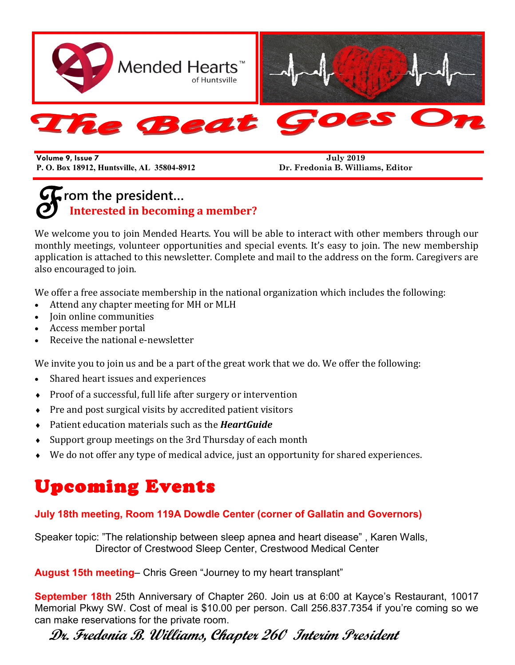

**Volume 9, Issue 7 P. O. Box 18912, Huntsville, AL 35804-8912**

**July 2019 Dr. Fredonia B. Williams, Editor**

# $\mathscr{F}^{\scriptscriptstyle{\text{rc}}}_{1}$ **rom the president… Interested in becoming a member?**

We welcome you to join Mended Hearts. You will be able to interact with other members through our monthly meetings, volunteer opportunities and special events. It's easy to join. The new membership application is attached to this newsletter. Complete and mail to the address on the form. Caregivers are also encouraged to join.

We offer a free associate membership in the national organization which includes the following:

- Attend any chapter meeting for MH or MLH
- Join online communities
- Access member portal
- Receive the national e-newsletter

We invite you to join us and be a part of the great work that we do. We offer the following:

- Shared heart issues and experiences
- Proof of a successful, full life after surgery or intervention
- $\bullet$  Pre and post surgical visits by accredited patient visitors
- Patient education materials such as the *HeartGuide*
- Support group meetings on the 3rd Thursday of each month
- We do not offer any type of medical advice, just an opportunity for shared experiences.

# Upcoming Events

#### **July 18th meeting, Room 119A Dowdle Center (corner of Gallatin and Governors)**

Speaker topic: "The relationship between sleep apnea and heart disease" , Karen Walls, Director of Crestwood Sleep Center, Crestwood Medical Center

**August 15th meeting**– Chris Green "Journey to my heart transplant"

**September 18th** 25th Anniversary of Chapter 260. Join us at 6:00 at Kayce's Restaurant, 10017 Memorial Pkwy SW. Cost of meal is \$10.00 per person. Call 256.837.7354 if you're coming so we can make reservations for the private room.

# **Dr. Fredonia B. Williams, Chapter 260 Interim President**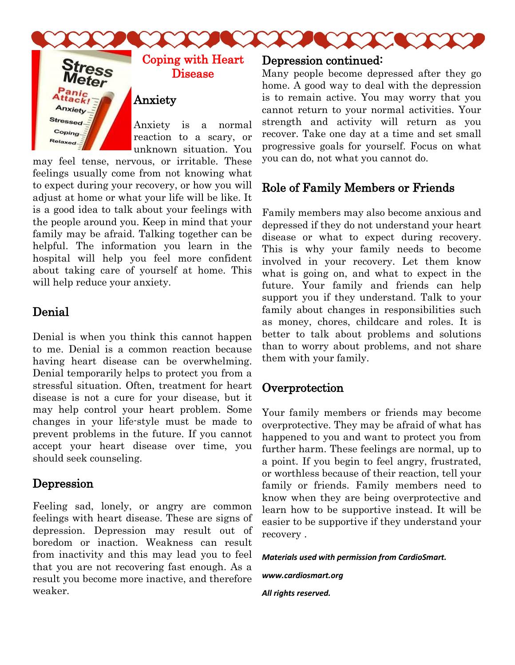



#### Coping with Heart Disease

#### Anxiety

Anxiety is a normal reaction to a scary, or unknown situation. You

may feel tense, nervous, or irritable. These feelings usually come from not knowing what to expect during your recovery, or how you will adjust at home or what your life will be like. It is a good idea to talk about your feelings with the people around you. Keep in mind that your family may be afraid. Talking together can be helpful. The information you learn in the hospital will help you feel more confident about taking care of yourself at home. This will help reduce your anxiety.

### Denial

Denial is when you think this cannot happen to me. Denial is a common reaction because having heart disease can be overwhelming. Denial temporarily helps to protect you from a stressful situation. Often, treatment for heart disease is not a cure for your disease, but it may help control your heart problem. Some changes in your life-style must be made to prevent problems in the future. If you cannot accept your heart disease over time, you should seek counseling.

### Depression

Feeling sad, lonely, or angry are common feelings with heart disease. These are signs of depression. Depression may result out of boredom or inaction. Weakness can result from inactivity and this may lead you to feel that you are not recovering fast enough. As a result you become more inactive, and therefore weaker.

#### Depression continued:

Many people become depressed after they go home. A good way to deal with the depression is to remain active. You may worry that you cannot return to your normal activities. Your strength and activity will return as you recover. Take one day at a time and set small progressive goals for yourself. Focus on what you can do, not what you cannot do.

## Role of Family Members or Friends

Family members may also become anxious and depressed if they do not understand your heart disease or what to expect during recovery. This is why your family needs to become involved in your recovery. Let them know what is going on, and what to expect in the future. Your family and friends can help support you if they understand. Talk to your family about changes in responsibilities such as money, chores, childcare and roles. It is better to talk about problems and solutions than to worry about problems, and not share them with your family.

#### **Overprotection**

Your family members or friends may become overprotective. They may be afraid of what has happened to you and want to protect you from further harm. These feelings are normal, up to a point. If you begin to feel angry, frustrated, or worthless because of their reaction, tell your family or friends. Family members need to know when they are being overprotective and learn how to be supportive instead. It will be easier to be supportive if they understand your recovery .

*Materials used with permission from CardioSmart.* 

*www.cardiosmart.org*

*All rights reserved.*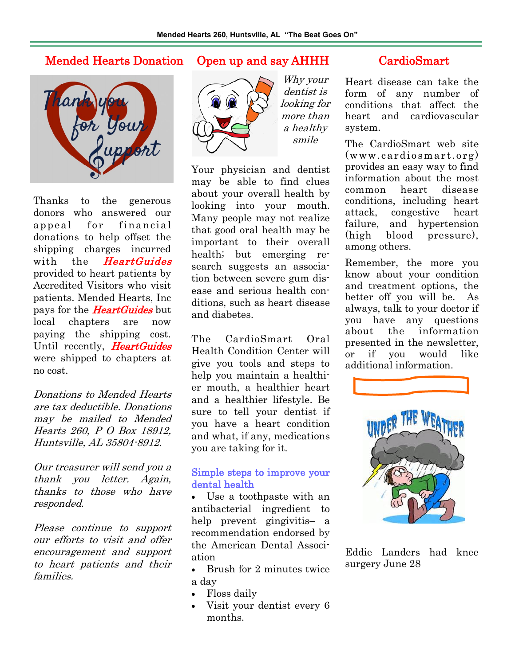#### Mended Hearts Donation Open up and say AHHH CardioSmart



Thanks to the generous donors who answered our appeal for financial donations to help offset the shipping charges incurred with the *HeartGuides* provided to heart patients by Accredited Visitors who visit patients. Mended Hearts, Inc pays for the **HeartGuides** but local chapters are now paying the shipping cost. Until recently, HeartGuides were shipped to chapters at no cost.

Donations to Mended Hearts are tax deductible. Donations may be mailed to Mended Hearts 260, P O Box 18912, Huntsville, AL 35804-8912.

Our treasurer will send you a thank you letter. Again, thanks to those who have responded.

Please continue to support our efforts to visit and offer encouragement and support to heart patients and their families.



Why your dentist is looking for more than a healthy smile

Your physician and dentist may be able to find clues about your overall health by looking into your mouth. Many people may not realize that good oral health may be important to their overall health; but emerging research suggests an association between severe gum disease and serious health conditions, such as heart disease and diabetes.

The CardioSmart Oral Health Condition Center will give you tools and steps to help you maintain a healthier mouth, a healthier heart and a healthier lifestyle. Be sure to tell your dentist if you have a heart condition and what, if any, medications you are taking for it.

#### Simple steps to improve your dental health

• Use a toothpaste with an antibacterial ingredient to help prevent gingivitis– a recommendation endorsed by the American Dental Association

- Brush for 2 minutes twice a day
- Floss daily
- Visit your dentist every 6 months.

Heart disease can take the form of any number of conditions that affect the heart and cardiovascular system.

The CardioSmart web site (www.cardio smart.org) provides an easy way to find information about the most common heart disease conditions, including heart attack, congestive heart failure, and hypertension (high blood pressure), among others.

Remember, the more you know about your condition and treatment options, the better off you will be. As always, talk to your doctor if you have any questions about the information presented in the newsletter, or if you would like additional information.



Eddie Landers had knee surgery June 28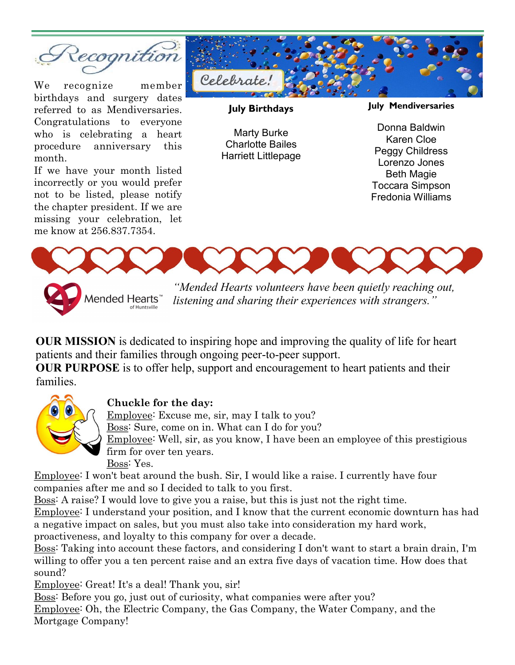

We recognize member birthdays and surgery dates referred to as Mendiversaries. Congratulations to everyone who is celebrating a heart procedure anniversary this month.

If we have your month listed incorrectly or you would prefer not to be listed, please notify the chapter president. If we are missing your celebration, let me know at 256.837.7354.



**July Birthdays**

Marty Burke Charlotte Bailes Harriett Littlepage **July Mendiversaries**

Donna Baldwin Karen Cloe Peggy Childress Lorenzo Jones Beth Magie Toccara Simpson Fredonia Williams



Mended Hearts<sup>™</sup>

*listening and sharing their experiences with strangers."* 

**OUR MISSION** is dedicated to inspiring hope and improving the quality of life for heart patients and their families through ongoing peer-to-peer support.

**OUR PURPOSE** is to offer help, support and encouragement to heart patients and their families.



#### **Chuckle for the day:**

Employee: Excuse me, sir, may I talk to you?

Boss: Sure, come on in. What can I do for you?

Employee: Well, sir, as you know, I have been an employee of this prestigious firm for over ten years.

Boss: Yes.

Employee: I won't beat around the bush. Sir, I would like a raise. I currently have four companies after me and so I decided to talk to you first.

Boss: A raise? I would love to give you a raise, but this is just not the right time.

Employee: I understand your position, and I know that the current economic downturn has had a negative impact on sales, but you must also take into consideration my hard work, proactiveness, and loyalty to this company for over a decade.

Boss: Taking into account these factors, and considering I don't want to start a brain drain, I'm willing to offer you a ten percent raise and an extra five days of vacation time. How does that sound?

Employee: Great! It's a deal! Thank you, sir!

Boss: Before you go, just out of curiosity, what companies were after you? Employee: Oh, the Electric Company, the Gas Company, the Water Company, and the Mortgage Company!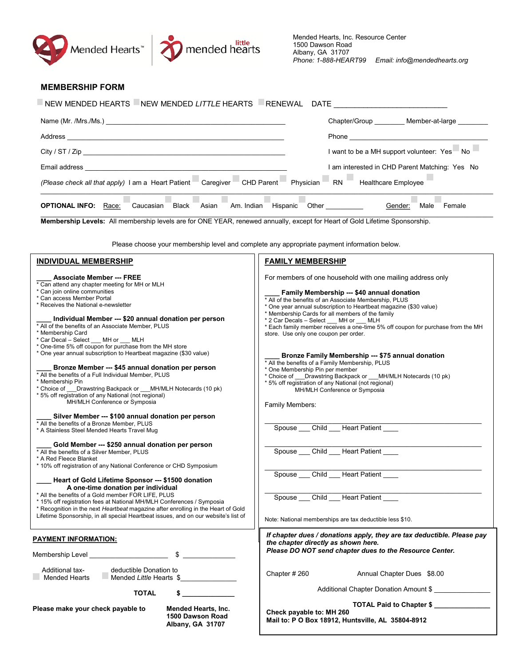



\_\_\_\_\_\_\_\_\_\_\_\_\_\_\_\_\_\_\_\_\_\_\_\_\_\_\_\_\_\_\_\_\_\_\_\_\_\_\_\_\_\_\_\_\_\_\_\_\_\_\_\_\_\_\_\_\_\_

Spouse \_\_\_\_ Child \_\_\_\_ Heart Patient

| <b>MEMBERSHIP FORM</b>                                                                                                                                                                                                                                                                                                                                                                                                                                                                                                                                                                                                                                                                                                                                         |                                                                                                                                                                                                                                                                                                                                                                                                                                                                                                                                                                                                                                                                                                                                                                                                  |
|----------------------------------------------------------------------------------------------------------------------------------------------------------------------------------------------------------------------------------------------------------------------------------------------------------------------------------------------------------------------------------------------------------------------------------------------------------------------------------------------------------------------------------------------------------------------------------------------------------------------------------------------------------------------------------------------------------------------------------------------------------------|--------------------------------------------------------------------------------------------------------------------------------------------------------------------------------------------------------------------------------------------------------------------------------------------------------------------------------------------------------------------------------------------------------------------------------------------------------------------------------------------------------------------------------------------------------------------------------------------------------------------------------------------------------------------------------------------------------------------------------------------------------------------------------------------------|
| NEW MENDED HEARTS NEW MENDED LITTLE HEARTS RENEWAL DATE                                                                                                                                                                                                                                                                                                                                                                                                                                                                                                                                                                                                                                                                                                        |                                                                                                                                                                                                                                                                                                                                                                                                                                                                                                                                                                                                                                                                                                                                                                                                  |
|                                                                                                                                                                                                                                                                                                                                                                                                                                                                                                                                                                                                                                                                                                                                                                | Chapter/Group _________ Member-at-large _______                                                                                                                                                                                                                                                                                                                                                                                                                                                                                                                                                                                                                                                                                                                                                  |
|                                                                                                                                                                                                                                                                                                                                                                                                                                                                                                                                                                                                                                                                                                                                                                | Phone <b>Phone</b>                                                                                                                                                                                                                                                                                                                                                                                                                                                                                                                                                                                                                                                                                                                                                                               |
|                                                                                                                                                                                                                                                                                                                                                                                                                                                                                                                                                                                                                                                                                                                                                                | I want to be a MH support volunteer: Yes<br>No.                                                                                                                                                                                                                                                                                                                                                                                                                                                                                                                                                                                                                                                                                                                                                  |
|                                                                                                                                                                                                                                                                                                                                                                                                                                                                                                                                                                                                                                                                                                                                                                | I am interested in CHD Parent Matching: Yes No                                                                                                                                                                                                                                                                                                                                                                                                                                                                                                                                                                                                                                                                                                                                                   |
| (Please check all that apply) I am a Heart Patient Caregiver CHD Parent Physician                                                                                                                                                                                                                                                                                                                                                                                                                                                                                                                                                                                                                                                                              | Healthcare Employee<br>RN                                                                                                                                                                                                                                                                                                                                                                                                                                                                                                                                                                                                                                                                                                                                                                        |
| <b>OPTIONAL INFO:</b> Race:                                                                                                                                                                                                                                                                                                                                                                                                                                                                                                                                                                                                                                                                                                                                    | Caucasian Black Asian Am. Indian Hispanic Other Caucasian Gender:<br>Male Female                                                                                                                                                                                                                                                                                                                                                                                                                                                                                                                                                                                                                                                                                                                 |
| Membership Levels: All membership levels are for ONE YEAR, renewed annually, except for Heart of Gold Lifetime Sponsorship.                                                                                                                                                                                                                                                                                                                                                                                                                                                                                                                                                                                                                                    |                                                                                                                                                                                                                                                                                                                                                                                                                                                                                                                                                                                                                                                                                                                                                                                                  |
|                                                                                                                                                                                                                                                                                                                                                                                                                                                                                                                                                                                                                                                                                                                                                                | Please choose your membership level and complete any appropriate payment information below.                                                                                                                                                                                                                                                                                                                                                                                                                                                                                                                                                                                                                                                                                                      |
| <b>INDIVIDUAL MEMBERSHIP</b>                                                                                                                                                                                                                                                                                                                                                                                                                                                                                                                                                                                                                                                                                                                                   | <b>FAMILY MEMBERSHIP</b>                                                                                                                                                                                                                                                                                                                                                                                                                                                                                                                                                                                                                                                                                                                                                                         |
| <b>Associate Member --- FREE</b><br>Can attend any chapter meeting for MH or MLH<br>Can join online communities<br>Can access Member Portal<br>Receives the National e-newsletter<br>Individual Member --- \$20 annual donation per person<br>All of the benefits of an Associate Member, PLUS<br>Membership Card<br>Car Decal - Select MH or MLH<br>One-time 5% off coupon for purchase from the MH store<br>One year annual subscription to Heartbeat magazine (\$30 value)<br>Bronze Member --- \$45 annual donation per person<br>All the benefits of a Full Individual Member, PLUS<br>Membership Pin<br>Choice of Drawstring Backpack or MH/MLH Notecards (10 pk)<br>5% off registration of any National (not regional)<br>MH/MLH Conference or Symposia | For members of one household with one mailing address only<br>Family Membership --- \$40 annual donation<br>* All of the benefits of an Associate Membership, PLUS<br>* One year annual subscription to Heartbeat magazine (\$30 value)<br>* Membership Cards for all members of the family<br>* 2 Car Decals - Select ___ MH or ___ MLH<br>* Each family member receives a one-time 5% off coupon for purchase from the MH<br>store. Use only one coupon per order.<br>Bronze Family Membership --- \$75 annual donation<br>* All the benefits of a Family Membership, PLUS<br>* One Membership Pin per member<br>* Choice of ___Drawstring Backpack or ___MH/MLH Notecards (10 pk)<br>* 5% off registration of any National (not regional)<br>MH/MLH Conference or Symposia<br>Family Members: |
| Silver Member --- \$100 annual donation per person<br>All the benefits of a Bronze Member, PLUS<br>* A Stainless Steel Mended Hearts Travel Mug<br>Gold Member --- \$250 annual donation per person<br>All the benefits of a Silver Member, PLUS<br>A Red Fleece Blanket                                                                                                                                                                                                                                                                                                                                                                                                                                                                                       | Spouse Child Heart Patient<br>Spouse Child Heart Patient                                                                                                                                                                                                                                                                                                                                                                                                                                                                                                                                                                                                                                                                                                                                         |
| * 10% off registration of any National Conference or CHD Symposium                                                                                                                                                                                                                                                                                                                                                                                                                                                                                                                                                                                                                                                                                             | Spouse<br>Child<br><b>Heart Patient</b>                                                                                                                                                                                                                                                                                                                                                                                                                                                                                                                                                                                                                                                                                                                                                          |

#### **\_\_\_\_ Heart of Gold Lifetime Sponsor --- \$1500 donation A one-time donation per individual**

\* All the benefits of a Gold member FOR LIFE, PLUS

\* 15% off registration fees at National MH/MLH Conferences / Symposia

\* Recognition in the next *Heartbeat* magazine after enrolling in the Heart of Gold

| Lifetime Sponsorship, in all special Heartbeat issues, and on our website's list of |  |  |
|-------------------------------------------------------------------------------------|--|--|
|                                                                                     |  |  |

| Lifetime Sponsorship, in all special Heartbeat issues, and on our website's list of                     | Note: National memberships are tax deductible less \$10.                                                                                                                 |  |  |
|---------------------------------------------------------------------------------------------------------|--------------------------------------------------------------------------------------------------------------------------------------------------------------------------|--|--|
| <b>PAYMENT INFORMATION:</b>                                                                             | If chapter dues / donations apply, they are tax deductible. Please pay<br>the chapter directly as shown here.<br>Please DO NOT send chapter dues to the Resource Center. |  |  |
| Membership Level                                                                                        |                                                                                                                                                                          |  |  |
| Additional tax-<br>deductible Donation to<br><b>Mended Hearts</b><br>Mended Little Hearts \$            | Chapter # 260<br>Annual Chapter Dues \$8.00                                                                                                                              |  |  |
| <b>TOTAL</b>                                                                                            | Additional Chapter Donation Amount \$                                                                                                                                    |  |  |
| Please make your check payable to<br><b>Mended Hearts, Inc.</b><br>1500 Dawson Road<br>Albany, GA 31707 | <b>TOTAL Paid to Chapter \$</b><br>Check payable to: MH 260<br>Mail to: P O Box 18912, Huntsville, AL 35804-8912                                                         |  |  |